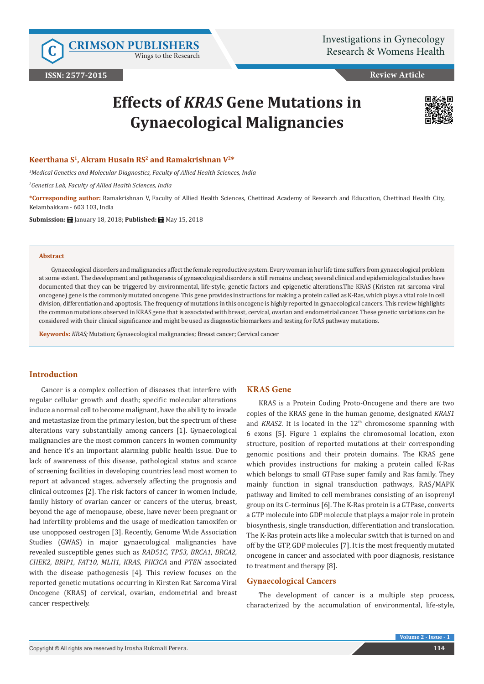Wings to the Research

**Review Article**

# **Effects of** *KRAS* **Gene Mutations in Gynaecological Malignancies**



#### **Keerthana S1, Akram Husain RS2 and Ramakrishnan V2\***

*1 Medical Genetics and Molecular Diagnostics, Faculty of Allied Health Sciences, India* 

*2 Genetics Lab, Faculty of Allied Health Sciences, India* 

**\*Corresponding author:** Ramakrishnan V, Faculty of Allied Health Sciences, Chettinad Academy of Research and Education, Chettinad Health City, Kelambakkam - 603 103, India

**Submission:** January 18, 2018; **Published:** May 15, 2018

#### **Abstract**

Gynaecological disorders and malignancies affect the female reproductive system. Every woman in her life time suffers from gynaecological problem at some extent. The development and pathogenesis of gynaecological disorders is still remains unclear, several clinical and epidemiological studies have documented that they can be triggered by environmental, life-style, genetic factors and epigenetic alterations.The KRAS (Kristen rat sarcoma viral oncogene) gene is the commonly mutated oncogene. This gene provides instructions for making a protein called as K-Ras, which plays a vital role in cell division, differentiation and apoptosis. The frequency of mutations in this oncogene is highly reported in gynaecological cancers. This review highlights the common mutations observed in KRAS gene that is associated with breast, cervical, ovarian and endometrial cancer. These genetic variations can be considered with their clinical significance and might be used as diagnostic biomarkers and testing for RAS pathway mutations.

**Keywords:** *KRAS;* Mutation; Gynaecological malignancies; Breast cancer; Cervical cancer

## **Introduction**

Cancer is a complex collection of diseases that interfere with regular cellular growth and death; specific molecular alterations induce a normal cell to become malignant, have the ability to invade and metastasize from the primary lesion, but the spectrum of these alterations vary substantially among cancers [1]. Gynaecological malignancies are the most common cancers in women community and hence it's an important alarming public health issue. Due to lack of awareness of this disease, pathological status and scarce of screening facilities in developing countries lead most women to report at advanced stages, adversely affecting the prognosis and clinical outcomes [2]. The risk factors of cancer in women include, family history of ovarian cancer or cancers of the uterus, breast, beyond the age of menopause, obese, have never been pregnant or had infertility problems and the usage of medication tamoxifen or use unopposed oestrogen [3]. Recently, Genome Wide Association Studies (GWAS) in major gynaecological malignancies have revealed susceptible genes such as *RAD51C, TP53, BRCA1, BRCA2, CHEK2, BRIP1, FAT10, MLH1, KRAS, PIK3CA* and *PTEN* associated with the disease pathogenesis [4]. This review focuses on the reported genetic mutations occurring in Kirsten Rat Sarcoma Viral Oncogene (KRAS) of cervical, ovarian, endometrial and breast cancer respectively.

# **KRAS Gene**

KRAS is a Protein Coding Proto-Oncogene and there are two copies of the KRAS gene in the human genome, designated *KRAS1* and *KRAS2*. It is located in the 12<sup>th</sup> chromosome spanning with 6 exons [5]. Figure 1 explains the chromosomal location, exon structure, position of reported mutations at their corresponding genomic positions and their protein domains. The KRAS gene which provides instructions for making a protein called K-Ras which belongs to small GTPase super family and Ras family. They mainly function in signal transduction pathways, RAS/MAPK pathway and limited to cell membranes consisting of an isoprenyl group on its C-terminus [6]. The K-Ras protein is a GTPase, converts a GTP molecule into GDP molecule that plays a major role in protein biosynthesis, single transduction, differentiation and translocation. The K-Ras protein acts like a molecular switch that is turned on and off by the GTP, GDP molecules [7]. It is the most frequently mutated oncogene in cancer and associated with poor diagnosis, resistance to treatment and therapy [8].

# **Gynaecological Cancers**

The development of cancer is a multiple step process, characterized by the accumulation of environmental, life-style,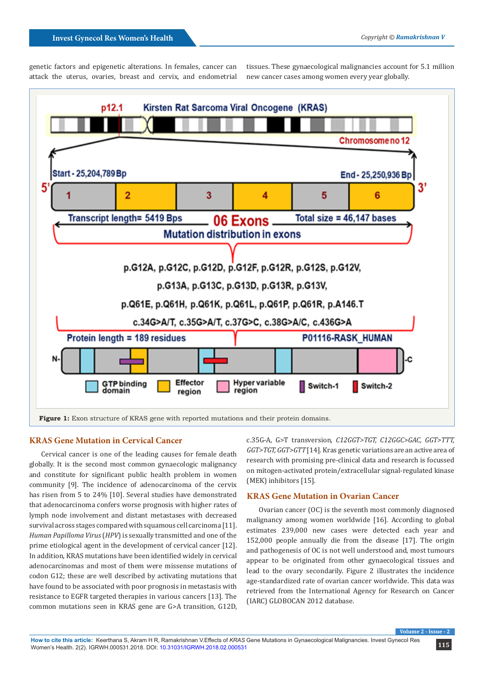genetic factors and epigenetic alterations. In females, cancer can attack the uterus, ovaries, breast and cervix, and endometrial

tissues. These gynaecological malignancies account for 5.1 million new cancer cases among women every year globally.



# **KRAS Gene Mutation in Cervical Cancer**

Cervical cancer is one of the leading causes for female death globally. It is the second most common gynaecologic malignancy and constitute for significant public health problem in women community [9]. The incidence of adenocarcinoma of the cervix has risen from 5 to 24% [10]. Several studies have demonstrated that adenocarcinoma confers worse prognosis with higher rates of lymph node involvement and distant metastases with decreased survival across stages compared with squamous cell carcinoma [11]. *Human Papilloma Virus* (*HPV*) is sexually transmitted and one of the prime etiological agent in the development of cervical cancer [12]. In addition, KRAS mutations have been identified widely in cervical adenocarcinomas and most of them were missense mutations of codon G12; these are well described by activating mutations that have found to be associated with poor prognosis in metastasis with resistance to EGFR targeted therapies in various cancers [13]. The common mutations seen in KRAS gene are G>A transition, G12D,

c.35G-A, G>T transversion, *C12GGT>TGT, C12GGC>GAC, GGT>TTT, GGT>TGT, GGT>GTT* [14]. Kras genetic variations are an active area of research with promising pre-clinical data and research is focussed on mitogen-activated protein/extracellular signal-regulated kinase (MEK) inhibitors [15].

#### **KRAS Gene Mutation in Ovarian Cancer**

Ovarian cancer (OC) is the seventh most commonly diagnosed malignancy among women worldwide [16]. According to global estimates 239,000 new cases were detected each year and 152,000 people annually die from the disease [17]. The origin and pathogenesis of OC is not well understood and, most tumours appear to be originated from other gynaecological tissues and lead to the ovary secondarily. Figure 2 illustrates the incidence age-standardized rate of ovarian cancer worldwide. This data was retrieved from the International Agency for Research on Cancer (IARC) GLOBOCAN 2012 database.

**Volume 2 - Issue - 2**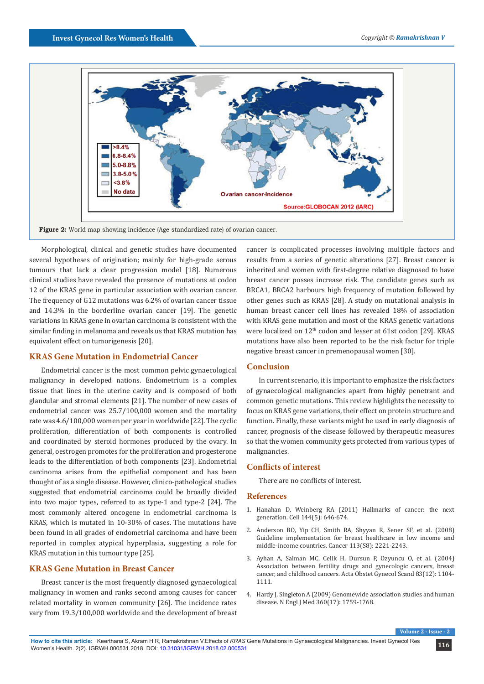

**Figure 2:** World map showing incidence (Age-standardized rate) of ovarian cancer.

Morphological, clinical and genetic studies have documented several hypotheses of origination; mainly for high-grade serous tumours that lack a clear progression model [18]. Numerous clinical studies have revealed the presence of mutations at codon 12 of the KRAS gene in particular association with ovarian cancer. The frequency of G12 mutations was 6.2% of ovarian cancer tissue and 14.3% in the borderline ovarian cancer [19]. The genetic variations in KRAS gene in ovarian carcinoma is consistent with the similar finding in melanoma and reveals us that KRAS mutation has equivalent effect on tumorigenesis [20].

#### **KRAS Gene Mutation in Endometrial Cancer**

Endometrial cancer is the most common pelvic gynaecological malignancy in developed nations. Endometrium is a complex tissue that lines in the uterine cavity and is composed of both glandular and stromal elements [21]. The number of new cases of endometrial cancer was 25.7/100,000 women and the mortality rate was 4.6/100,000 women per year in worldwide [22]. The cyclic proliferation, differentiation of both components is controlled and coordinated by steroid hormones produced by the ovary. In general, oestrogen promotes for the proliferation and progesterone leads to the differentiation of both components [23]. Endometrial carcinoma arises from the epithelial component and has been thought of as a single disease. However, clinico-pathological studies suggested that endometrial carcinoma could be broadly divided into two major types, referred to as type-1 and type-2 [24]. The most commonly altered oncogene in endometrial carcinoma is KRAS, which is mutated in 10-30% of cases. The mutations have been found in all grades of endometrial carcinoma and have been reported in complex atypical hyperplasia, suggesting a role for KRAS mutation in this tumour type [25].

# **KRAS Gene Mutation in Breast Cancer**

Breast cancer is the most frequently diagnosed gynaecological malignancy in women and ranks second among causes for cancer related mortality in women community [26]. The incidence rates vary from 19.3/100,000 worldwide and the development of breast

cancer is complicated processes involving multiple factors and results from a series of genetic alterations [27]. Breast cancer is inherited and women with first-degree relative diagnosed to have breast cancer posses increase risk. The candidate genes such as BRCA1, BRCA2 harbours high frequency of mutation followed by other genes such as KRAS [28]. A study on mutational analysis in human breast cancer cell lines has revealed 18% of association with KRAS gene mutation and most of the KRAS genetic variations were localized on 12<sup>th</sup> codon and lesser at 61st codon [29]. KRAS mutations have also been reported to be the risk factor for triple negative breast cancer in premenopausal women [30].

#### **Conclusion**

In current scenario, it is important to emphasize the risk factors of gynaecological malignancies apart from highly penetrant and common genetic mutations. This review highlights the necessity to focus on KRAS gene variations, their effect on protein structure and function. Finally, these variants might be used in early diagnosis of cancer, prognosis of the disease followed by therapeutic measures so that the women community gets protected from various types of malignancies.

#### **Conflicts of interest**

There are no conflicts of interest.

#### **References**

- 1. [Hanahan D, Weinberg RA \(2011\) Hallmarks of cancer: the next](https://www.ncbi.nlm.nih.gov/pubmed/21376230) [generation. Cell 144\(5\): 646-674.](https://www.ncbi.nlm.nih.gov/pubmed/21376230)
- 2. [Anderson BO, Yip CH, Smith RA, Shyyan R, Sener SF, et al. \(2008\)](https://www.ncbi.nlm.nih.gov/pubmed/18816619) [Guideline implementation for breast healthcare in low income and](https://www.ncbi.nlm.nih.gov/pubmed/18816619) [middle-income countries. Cancer 113\(S8\): 2221-2243.](https://www.ncbi.nlm.nih.gov/pubmed/18816619)
- 3. [Ayhan A, Salman MC, Celik H, Dursun P, Ozyuncu O, et al. \(2004\)](https://www.ncbi.nlm.nih.gov/pubmed/15548140) [Association between fertility drugs and gynecologic cancers, breast](https://www.ncbi.nlm.nih.gov/pubmed/15548140) [cancer, and childhood cancers. Acta Obstet Gynecol Scand 83\(12\): 1104-](https://www.ncbi.nlm.nih.gov/pubmed/15548140) [1111.](https://www.ncbi.nlm.nih.gov/pubmed/15548140)
- 4. Hardy J, Singleton A (2009) Genomewide association studies and human disease. [N Engl J Med 360\(17\): 1759-1768.](https://www.ncbi.nlm.nih.gov/pubmed/19369657)

**Volume 2**